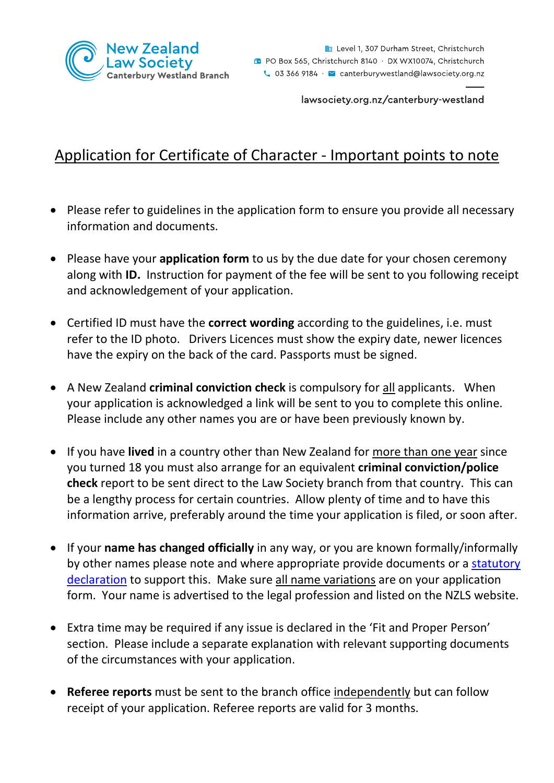

lawsociety.org.nz/canterbury-westland

## Application for Certificate of Character - Important points to note

- Please refer to guidelines in the application form to ensure you provide all necessary information and documents.
- Please have your **application form** to us by the due date for your chosen ceremony along with **ID.** Instruction for payment of the fee will be sent to you following receipt and acknowledgement of your application.
- Certified ID must have the **correct wording** according to the guidelines, i.e. must refer to the ID photo. Drivers Licences must show the expiry date, newer licences have the expiry on the back of the card. Passports must be signed.
- A New Zealand **criminal conviction check** is compulsory for all applicants. When your application is acknowledged a link will be sent to you to complete this online. Please include any other names you are or have been previously known by.
- If you have **lived** in a country other than New Zealand for more than one year since you turned 18 you must also arrange for an equivalent **criminal conviction/police check** report to be sent direct to the Law Society branch from that country. This can be a lengthy process for certain countries. Allow plenty of time and to have this information arrive, preferably around the time your application is filed, or soon after.
- If your **name has changed officially** in any way, or you are known formally/informally by other names please note and where appropriate provide documents or a statutory [declaration](https://www.govt.nz/browse/law-crime-and-justice/making-a-statutory-declaration/) to support this. Make sure all name variations are on your application form. Your name is advertised to the legal profession and listed on the NZLS website.
- Extra time may be required if any issue is declared in the 'Fit and Proper Person' section. Please include a separate explanation with relevant supporting documents of the circumstances with your application.
- **Referee reports** must be sent to the branch office independently but can follow receipt of your application. Referee reports are valid for 3 months.